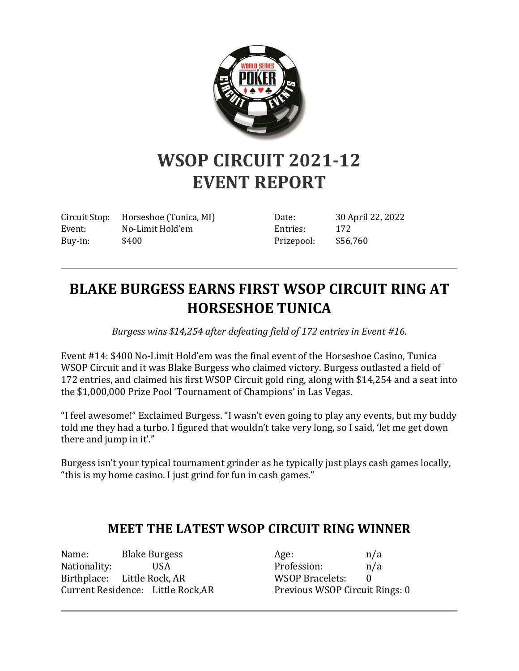

## **WSOP CIRCUIT 2021-12 EVENT REPORT**

Circuit Stop: Horseshoe (Tunica, MI) Event: No-Limit Hold'em Buy-in: \$400

Date: 30 April 22, 2022 Entries: 172 Prizepool: \$56,760

## **BLAKE BURGESS EARNS FIRST WSOP CIRCUIT RING AT HORSESHOE TUNICA**

*Burgess wins \$14,254 after defeating field of 172 entries in Event #16.*

Event #14: \$400 No-Limit Hold'em was the final event of the Horseshoe Casino, Tunica WSOP Circuit and it was Blake Burgess who claimed victory. Burgess outlasted a field of 172 entries, and claimed his first WSOP Circuit gold ring, along with \$14,254 and a seat into the \$1,000,000 Prize Pool 'Tournament of Champions' in Las Vegas.

"I feel awesome!" Exclaimed Burgess. "I wasn't even going to play any events, but my buddy told me they had a turbo. I figured that wouldn't take very long, so I said, 'let me get down there and jump in it'."

Burgess isn't your typical tournament grinder as he typically just plays cash games locally, "this is my home casino. I just grind for fun in cash games."

## **MEET THE LATEST WSOP CIRCUIT RING WINNER**

Name: Blake Burgess Nationality: USA Birthplace: Little Rock, AR Current Residence: Little Rock,AR

Age:  $n/a$ Profession: n/a WSOP Bracelets: 0 Previous WSOP Circuit Rings: 0